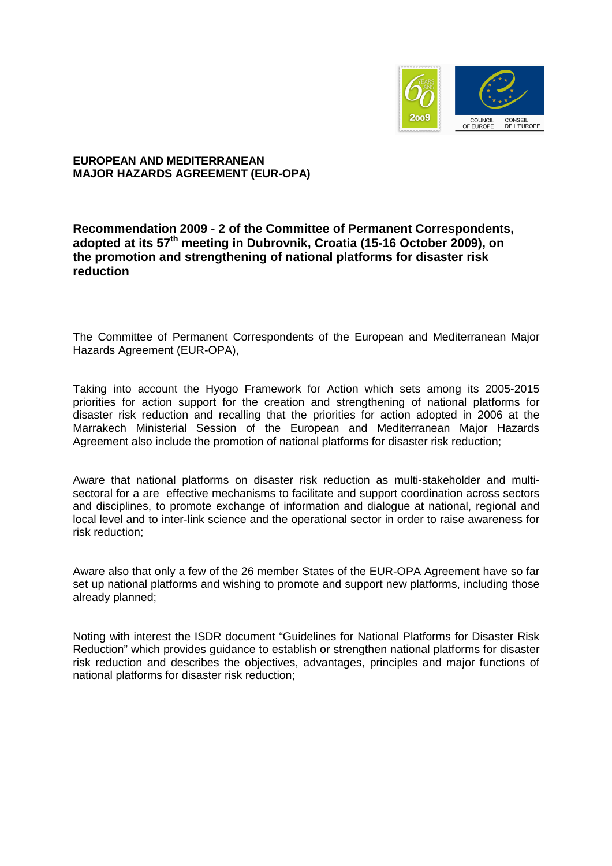

## **EUROPEAN AND MEDITERRANEAN MAJOR HAZARDS AGREEMENT (EUR-OPA)**

## **Recommendation 2009 - 2 of the Committee of Permanent Correspondents, adopted at its 57th meeting in Dubrovnik, Croatia (15-16 October 2009), on the promotion and strengthening of national platforms for disaster risk reduction**

The Committee of Permanent Correspondents of the European and Mediterranean Major Hazards Agreement (EUR-OPA),

Taking into account the Hyogo Framework for Action which sets among its 2005-2015 priorities for action support for the creation and strengthening of national platforms for disaster risk reduction and recalling that the priorities for action adopted in 2006 at the Marrakech Ministerial Session of the European and Mediterranean Major Hazards Agreement also include the promotion of national platforms for disaster risk reduction;

Aware that national platforms on disaster risk reduction as multi-stakeholder and multisectoral for a are effective mechanisms to facilitate and support coordination across sectors and disciplines, to promote exchange of information and dialogue at national, regional and local level and to inter-link science and the operational sector in order to raise awareness for risk reduction;

Aware also that only a few of the 26 member States of the EUR-OPA Agreement have so far set up national platforms and wishing to promote and support new platforms, including those already planned;

Noting with interest the ISDR document "Guidelines for National Platforms for Disaster Risk Reduction" which provides guidance to establish or strengthen national platforms for disaster risk reduction and describes the objectives, advantages, principles and major functions of national platforms for disaster risk reduction;